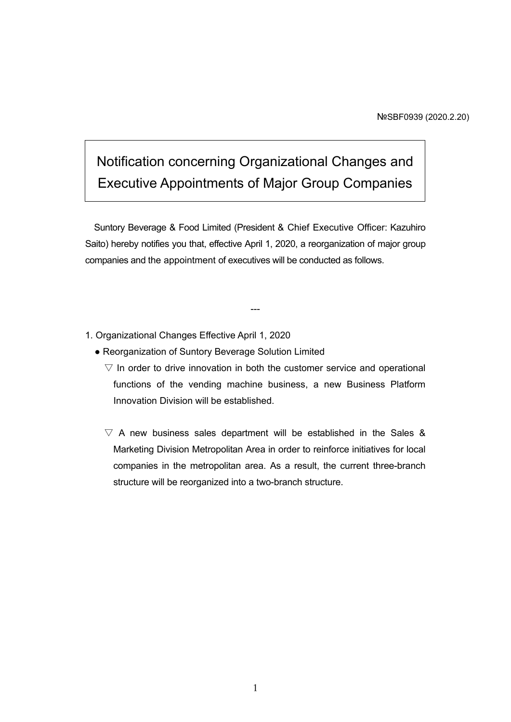# Notification concerning Organizational Changes and Executive Appointments of Major Group Companies

Suntory Beverage & Food Limited (President & Chief Executive Officer: Kazuhiro Saito) hereby notifies you that, effective April 1, 2020, a reorganization of major group companies and the appointment of executives will be conducted as follows.

---

- 1. Organizational Changes Effective April 1, 2020
	- Reorganization of Suntory Beverage Solution Limited
		- $\nabla$  In order to drive innovation in both the customer service and operational functions of the vending machine business, a new Business Platform Innovation Division will be established.
		- $\nabla$  A new business sales department will be established in the Sales & Marketing Division Metropolitan Area in order to reinforce initiatives for local companies in the metropolitan area. As a result, the current three-branch structure will be reorganized into a two-branch structure.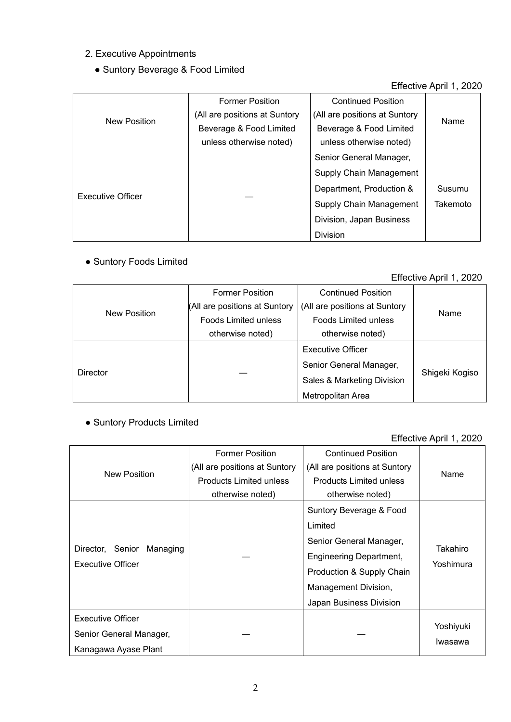#### 2. Executive Appointments

# ● Suntory Beverage & Food Limited

## Effective April 1, 2020

| New Position      | <b>Former Position</b>        | <b>Continued Position</b>     |          |
|-------------------|-------------------------------|-------------------------------|----------|
|                   | (All are positions at Suntory | (All are positions at Suntory | Name     |
|                   | Beverage & Food Limited       | Beverage & Food Limited       |          |
|                   | unless otherwise noted)       | unless otherwise noted)       |          |
| Executive Officer |                               | Senior General Manager,       |          |
|                   |                               | Supply Chain Management       |          |
|                   |                               | Department, Production &      | Susumu   |
|                   |                               | Supply Chain Management       | Takemoto |
|                   |                               | Division, Japan Business      |          |
|                   |                               | <b>Division</b>               |          |

## • Suntory Foods Limited

#### Effective April 1, 2020

| <b>New Position</b> | <b>Former Position</b>        | <b>Continued Position</b>     | Name           |
|---------------------|-------------------------------|-------------------------------|----------------|
|                     | (All are positions at Suntory | (All are positions at Suntory |                |
|                     | <b>Foods Limited unless</b>   | <b>Foods Limited unless</b>   |                |
|                     | otherwise noted)              | otherwise noted)              |                |
| <b>Director</b>     |                               | <b>Executive Officer</b>      |                |
|                     |                               | Senior General Manager,       | Shigeki Kogiso |
|                     |                               | Sales & Marketing Division    |                |
|                     |                               | Metropolitan Area             |                |

## ● Suntory Products Limited

#### Effective April 1, 2020

| New Position                                          | <b>Former Position</b>         | <b>Continued Position</b>      |                       |
|-------------------------------------------------------|--------------------------------|--------------------------------|-----------------------|
|                                                       | (All are positions at Suntory  | (All are positions at Suntory  | Name                  |
|                                                       | <b>Products Limited unless</b> | <b>Products Limited unless</b> |                       |
|                                                       | otherwise noted)               | otherwise noted)               |                       |
|                                                       |                                | Suntory Beverage & Food        |                       |
|                                                       |                                | Limited                        |                       |
| Director, Senior Managing<br><b>Executive Officer</b> |                                | Senior General Manager,        | Takahiro<br>Yoshimura |
|                                                       |                                | <b>Engineering Department,</b> |                       |
|                                                       |                                | Production & Supply Chain      |                       |
|                                                       |                                | Management Division,           |                       |
|                                                       |                                | Japan Business Division        |                       |
| <b>Executive Officer</b>                              |                                |                                |                       |
| Senior General Manager,                               |                                |                                | Yoshiyuki             |
| Kanagawa Ayase Plant                                  |                                |                                | Iwasawa               |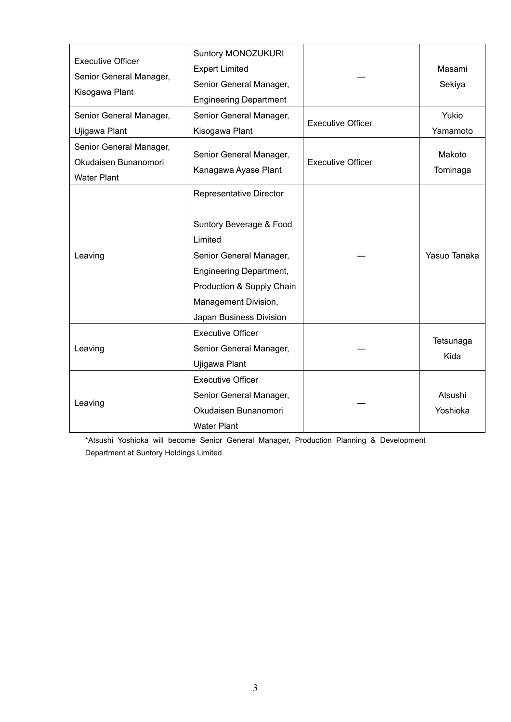| <b>Executive Officer</b><br>Senior General Manager,<br>Kisogawa Plant | Suntory MONOZUKURI<br><b>Expert Limited</b><br>Senior General Manager,<br><b>Engineering Department</b>                                                                                                    |                          | Masami<br>Sekiya    |
|-----------------------------------------------------------------------|------------------------------------------------------------------------------------------------------------------------------------------------------------------------------------------------------------|--------------------------|---------------------|
| Senior General Manager,<br>Ujigawa Plant                              | Senior General Manager,<br>Kisogawa Plant                                                                                                                                                                  | <b>Executive Officer</b> | Yukio<br>Yamamoto   |
| Senior General Manager,<br>Okudaisen Bunanomori<br><b>Water Plant</b> | Senior General Manager,<br>Kanagawa Ayase Plant                                                                                                                                                            | <b>Executive Officer</b> | Makoto<br>Tominaga  |
| Leaving                                                               | Representative Director<br>Suntory Beverage & Food<br>Limited<br>Senior General Manager,<br><b>Engineering Department,</b><br>Production & Supply Chain<br>Management Division,<br>Japan Business Division |                          | Yasuo Tanaka        |
| Leaving                                                               | <b>Executive Officer</b><br>Senior General Manager,<br>Ujigawa Plant                                                                                                                                       |                          | Tetsunaga<br>Kida   |
| Leaving                                                               | <b>Executive Officer</b><br>Senior General Manager,<br>Okudaisen Bunanomori<br><b>Water Plant</b>                                                                                                          |                          | Atsushi<br>Yoshioka |

\*Atsushi Yoshioka will become Senior General Manager, Production Planning & Development Department at Suntory Holdings Limited.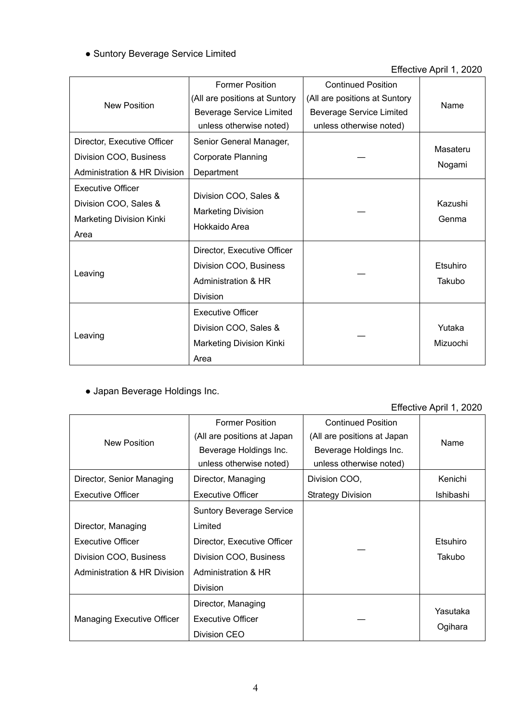# ● Suntory Beverage Service Limited

#### Effective April 1, 2020

| <b>New Position</b>                                                                   | <b>Former Position</b>                                                                          | <b>Continued Position</b>       |                    |
|---------------------------------------------------------------------------------------|-------------------------------------------------------------------------------------------------|---------------------------------|--------------------|
|                                                                                       | (All are positions at Suntory                                                                   | (All are positions at Suntory   | Name               |
|                                                                                       | <b>Beverage Service Limited</b>                                                                 | <b>Beverage Service Limited</b> |                    |
|                                                                                       | unless otherwise noted)                                                                         | unless otherwise noted)         |                    |
| Director, Executive Officer                                                           | Senior General Manager,                                                                         |                                 | Masateru           |
| Division COO, Business                                                                | <b>Corporate Planning</b>                                                                       |                                 |                    |
| <b>Administration &amp; HR Division</b>                                               | Department                                                                                      |                                 | Nogami             |
| <b>Executive Officer</b><br>Division COO, Sales &<br>Marketing Division Kinki<br>Area | Division COO, Sales &<br><b>Marketing Division</b><br>Hokkaido Area                             |                                 | Kazushi<br>Genma   |
| Leaving                                                                               | Director, Executive Officer<br>Division COO, Business<br>Administration & HR<br><b>Division</b> |                                 | Etsuhiro<br>Takubo |
| Leaving                                                                               | <b>Executive Officer</b><br>Division COO, Sales &<br>Marketing Division Kinki<br>Area           |                                 | Yutaka<br>Mizuochi |

# ● Japan Beverage Holdings Inc.

#### Effective April 1, 2020

| New Position                                                                                             | <b>Former Position</b><br>(All are positions at Japan<br>Beverage Holdings Inc.<br>unless otherwise noted)                                    | <b>Continued Position</b><br>(All are positions at Japan<br>Beverage Holdings Inc.<br>unless otherwise noted) | Name                |
|----------------------------------------------------------------------------------------------------------|-----------------------------------------------------------------------------------------------------------------------------------------------|---------------------------------------------------------------------------------------------------------------|---------------------|
| Director, Senior Managing                                                                                | Director, Managing                                                                                                                            | Division COO,                                                                                                 | Kenichi             |
| <b>Executive Officer</b>                                                                                 | <b>Executive Officer</b>                                                                                                                      | <b>Strategy Division</b>                                                                                      | Ishibashi           |
| Director, Managing<br><b>Executive Officer</b><br>Division COO, Business<br>Administration & HR Division | <b>Suntory Beverage Service</b><br>Limited<br>Director, Executive Officer<br>Division COO, Business<br>Administration & HR<br><b>Division</b> |                                                                                                               | Etsuhiro<br>Takubo  |
| <b>Managing Executive Officer</b>                                                                        | Director, Managing<br><b>Executive Officer</b><br>Division CEO                                                                                |                                                                                                               | Yasutaka<br>Ogihara |